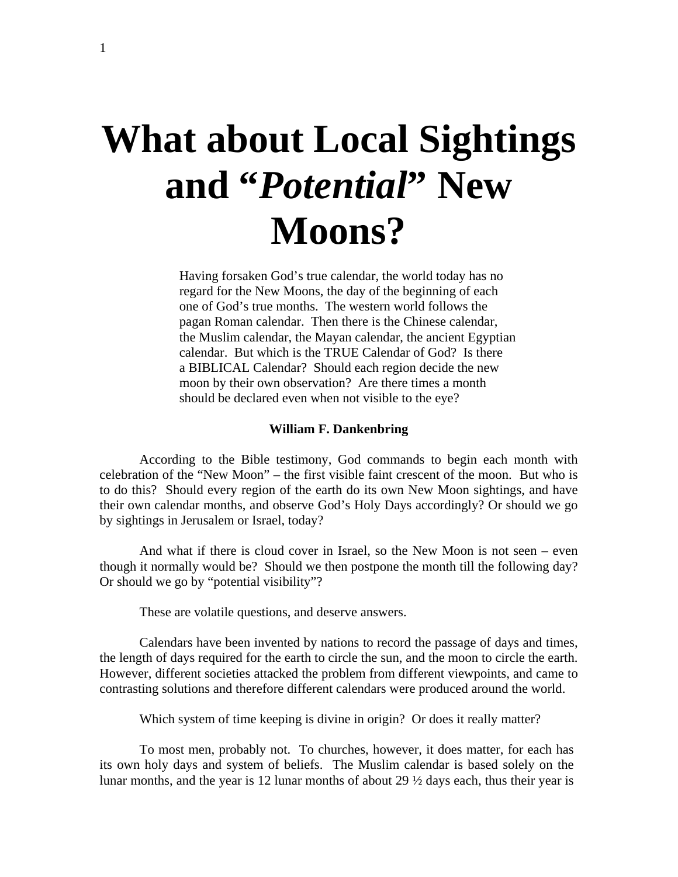# **What about Local Sightings and "***Potential***" New Moons?**

Having forsaken God's true calendar, the world today has no regard for the New Moons, the day of the beginning of each one of God's true months. The western world follows the pagan Roman calendar. Then there is the Chinese calendar, the Muslim calendar, the Mayan calendar, the ancient Egyptian calendar. But which is the TRUE Calendar of God? Is there a BIBLICAL Calendar? Should each region decide the new moon by their own observation? Are there times a month should be declared even when not visible to the eye?

## **William F. Dankenbring**

According to the Bible testimony, God commands to begin each month with celebration of the "New Moon" – the first visible faint crescent of the moon. But who is to do this? Should every region of the earth do its own New Moon sightings, and have their own calendar months, and observe God's Holy Days accordingly? Or should we go by sightings in Jerusalem or Israel, today?

And what if there is cloud cover in Israel, so the New Moon is not seen – even though it normally would be? Should we then postpone the month till the following day? Or should we go by "potential visibility"?

These are volatile questions, and deserve answers.

Calendars have been invented by nations to record the passage of days and times, the length of days required for the earth to circle the sun, and the moon to circle the earth. However, different societies attacked the problem from different viewpoints, and came to contrasting solutions and therefore different calendars were produced around the world.

Which system of time keeping is divine in origin? Or does it really matter?

To most men, probably not. To churches, however, it does matter, for each has its own holy days and system of beliefs. The Muslim calendar is based solely on the lunar months, and the year is 12 lunar months of about 29 ½ days each, thus their year is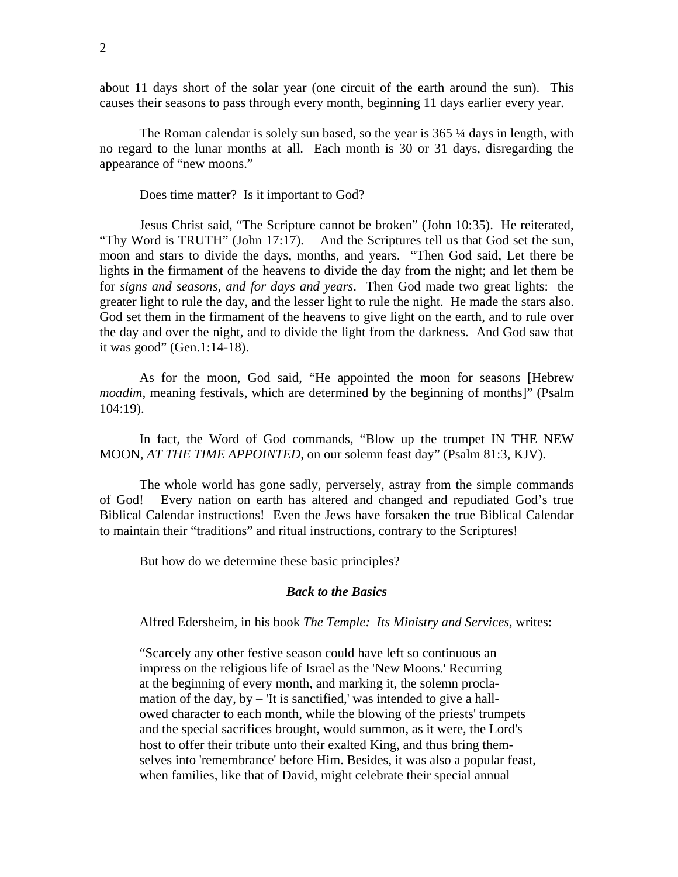about 11 days short of the solar year (one circuit of the earth around the sun). This causes their seasons to pass through every month, beginning 11 days earlier every year.

The Roman calendar is solely sun based, so the year is 365 ¼ days in length, with no regard to the lunar months at all. Each month is 30 or 31 days, disregarding the appearance of "new moons."

Does time matter? Is it important to God?

Jesus Christ said, "The Scripture cannot be broken" (John 10:35). He reiterated, "Thy Word is TRUTH" (John 17:17). And the Scriptures tell us that God set the sun, moon and stars to divide the days, months, and years. "Then God said, Let there be lights in the firmament of the heavens to divide the day from the night; and let them be for *signs and seasons, and for days and years*. Then God made two great lights: the greater light to rule the day, and the lesser light to rule the night. He made the stars also. God set them in the firmament of the heavens to give light on the earth, and to rule over the day and over the night, and to divide the light from the darkness. And God saw that it was good" (Gen.1:14-18).

As for the moon, God said, "He appointed the moon for seasons [Hebrew *moadim*, meaning festivals, which are determined by the beginning of months]" (Psalm 104:19).

In fact, the Word of God commands, "Blow up the trumpet IN THE NEW MOON, *AT THE TIME APPOINTED,* on our solemn feast day" (Psalm 81:3, KJV).

The whole world has gone sadly, perversely, astray from the simple commands of God! Every nation on earth has altered and changed and repudiated God's true Biblical Calendar instructions! Even the Jews have forsaken the true Biblical Calendar to maintain their "traditions" and ritual instructions, contrary to the Scriptures!

But how do we determine these basic principles?

# *Back to the Basics*

Alfred Edersheim, in his book *The Temple: Its Ministry and Services,* writes:

"Scarcely any other festive season could have left so continuous an impress on the religious life of Israel as the 'New Moons.' Recurring at the beginning of every month, and marking it, the solemn proclamation of the day, by  $-$  'It is sanctified,' was intended to give a hallowed character to each month, while the blowing of the priests' trumpets and the special sacrifices brought, would summon, as it were, the Lord's host to offer their tribute unto their exalted King, and thus bring themselves into 'remembrance' before Him. Besides, it was also a popular feast, when families, like that of David, might celebrate their special annual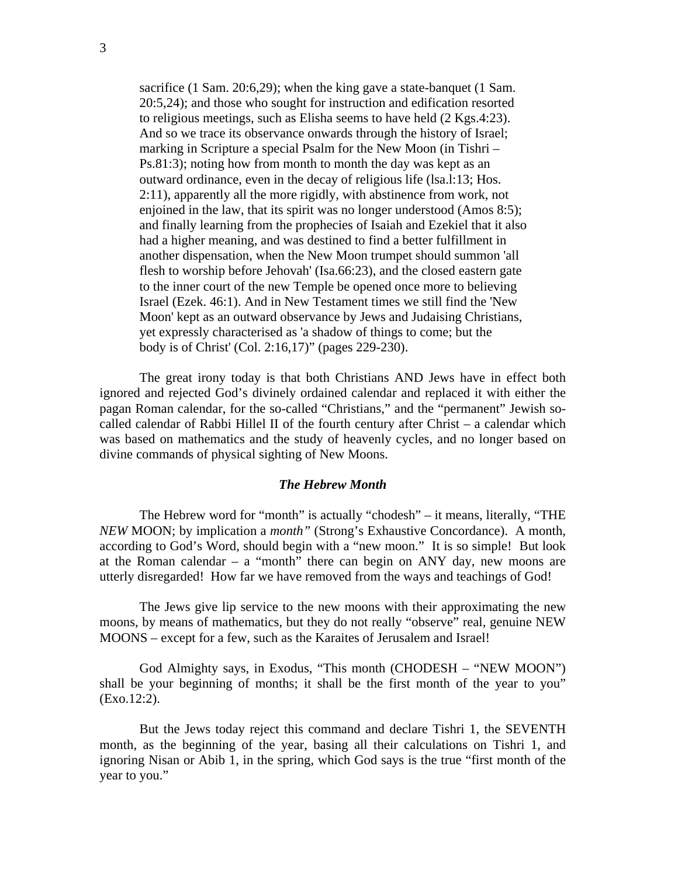sacrifice (1 Sam. 20:6,29); when the king gave a state-banquet (1 Sam. 20:5,24); and those who sought for instruction and edification resorted to religious meetings, such as Elisha seems to have held (2 Kgs.4:23). And so we trace its observance onwards through the history of Israel; marking in Scripture a special Psalm for the New Moon (in Tishri – Ps.81:3); noting how from month to month the day was kept as an outward ordinance, even in the decay of religious life (lsa.l:13; Hos. 2:11), apparently all the more rigidly, with abstinence from work, not enjoined in the law, that its spirit was no longer understood (Amos 8:5); and finally learning from the prophecies of Isaiah and Ezekiel that it also had a higher meaning, and was destined to find a better fulfillment in another dispensation, when the New Moon trumpet should summon 'all flesh to worship before Jehovah' (Isa.66:23), and the closed eastern gate to the inner court of the new Temple be opened once more to believing Israel (Ezek. 46:1). And in New Testament times we still find the 'New Moon' kept as an outward observance by Jews and Judaising Christians, yet expressly characterised as 'a shadow of things to come; but the body is of Christ' (Col. 2:16,17)" (pages 229-230).

 The great irony today is that both Christians AND Jews have in effect both ignored and rejected God's divinely ordained calendar and replaced it with either the pagan Roman calendar, for the so-called "Christians," and the "permanent" Jewish socalled calendar of Rabbi Hillel II of the fourth century after Christ – a calendar which was based on mathematics and the study of heavenly cycles, and no longer based on divine commands of physical sighting of New Moons.

# *The Hebrew Month*

 The Hebrew word for "month" is actually "chodesh" – it means, literally, "THE *NEW* MOON; by implication a *month"* (Strong's Exhaustive Concordance). A month, according to God's Word, should begin with a "new moon." It is so simple! But look at the Roman calendar – a "month" there can begin on ANY day, new moons are utterly disregarded! How far we have removed from the ways and teachings of God!

 The Jews give lip service to the new moons with their approximating the new moons, by means of mathematics, but they do not really "observe" real, genuine NEW MOONS – except for a few, such as the Karaites of Jerusalem and Israel!

 God Almighty says, in Exodus, "This month (CHODESH – "NEW MOON") shall be your beginning of months; it shall be the first month of the year to you" (Exo.12:2).

 But the Jews today reject this command and declare Tishri 1, the SEVENTH month, as the beginning of the year, basing all their calculations on Tishri 1, and ignoring Nisan or Abib 1, in the spring, which God says is the true "first month of the year to you."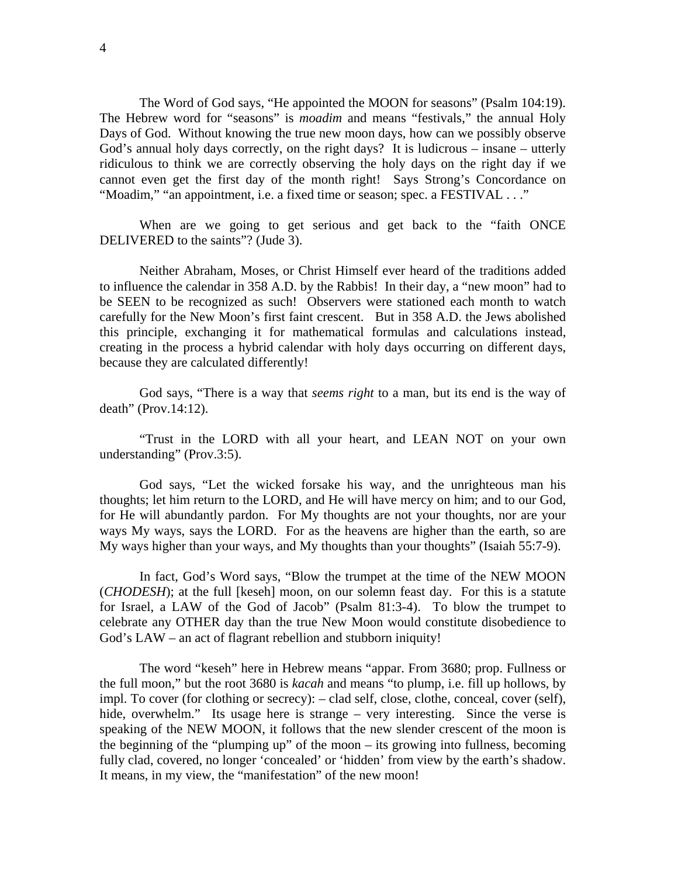The Word of God says, "He appointed the MOON for seasons" (Psalm 104:19). The Hebrew word for "seasons" is *moadim* and means "festivals," the annual Holy Days of God. Without knowing the true new moon days, how can we possibly observe God's annual holy days correctly, on the right days? It is ludicrous – insane – utterly ridiculous to think we are correctly observing the holy days on the right day if we cannot even get the first day of the month right! Says Strong's Concordance on "Moadim," "an appointment, i.e. a fixed time or season; spec. a FESTIVAL . . ."

 When are we going to get serious and get back to the "faith ONCE DELIVERED to the saints"? (Jude 3).

Neither Abraham, Moses, or Christ Himself ever heard of the traditions added to influence the calendar in 358 A.D. by the Rabbis! In their day, a "new moon" had to be SEEN to be recognized as such! Observers were stationed each month to watch carefully for the New Moon's first faint crescent. But in 358 A.D. the Jews abolished this principle, exchanging it for mathematical formulas and calculations instead, creating in the process a hybrid calendar with holy days occurring on different days, because they are calculated differently!

God says, "There is a way that *seems right* to a man, but its end is the way of death" (Prov.14:12).

"Trust in the LORD with all your heart, and LEAN NOT on your own understanding" (Prov.3:5).

God says, "Let the wicked forsake his way, and the unrighteous man his thoughts; let him return to the LORD, and He will have mercy on him; and to our God, for He will abundantly pardon. For My thoughts are not your thoughts, nor are your ways My ways, says the LORD. For as the heavens are higher than the earth, so are My ways higher than your ways, and My thoughts than your thoughts" (Isaiah 55:7-9).

 In fact, God's Word says, "Blow the trumpet at the time of the NEW MOON (*CHODESH*); at the full [keseh] moon, on our solemn feast day. For this is a statute for Israel, a LAW of the God of Jacob" (Psalm 81:3-4). To blow the trumpet to celebrate any OTHER day than the true New Moon would constitute disobedience to God's LAW – an act of flagrant rebellion and stubborn iniquity!

 The word "keseh" here in Hebrew means "appar. From 3680; prop. Fullness or the full moon," but the root 3680 is *kacah* and means "to plump, i.e. fill up hollows, by impl. To cover (for clothing or secrecy): – clad self, close, clothe, conceal, cover (self), hide, overwhelm." Its usage here is strange – very interesting. Since the verse is speaking of the NEW MOON, it follows that the new slender crescent of the moon is the beginning of the "plumping up" of the moon – its growing into fullness, becoming fully clad, covered, no longer 'concealed' or 'hidden' from view by the earth's shadow. It means, in my view, the "manifestation" of the new moon!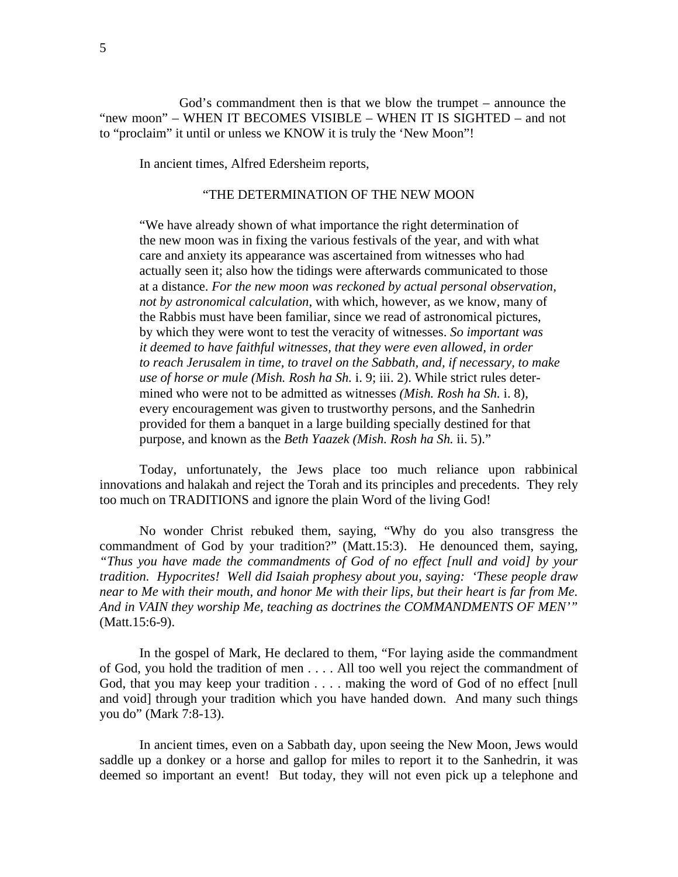God's commandment then is that we blow the trumpet – announce the "new moon" – WHEN IT BECOMES VISIBLE – WHEN IT IS SIGHTED – and not to "proclaim" it until or unless we KNOW it is truly the 'New Moon"!

In ancient times, Alfred Edersheim reports,

# "THE DETERMINATION OF THE NEW MOON

"We have already shown of what importance the right determination of the new moon was in fixing the various festivals of the year, and with what care and anxiety its appearance was ascertained from witnesses who had actually seen it; also how the tidings were afterwards communicated to those at a distance. *For the new moon was reckoned by actual personal observation, not by astronomical calculation*, with which, however, as we know, many of the Rabbis must have been familiar, since we read of astronomical pictures, by which they were wont to test the veracity of witnesses. *So important was it deemed to have faithful witnesses, that they were even allowed, in order to reach Jerusalem in time, to travel on the Sabbath, and, if necessary, to make use of horse or mule (Mish. Rosh ha Sh.* i. 9; iii. 2). While strict rules determined who were not to be admitted as witnesses *(Mish. Rosh ha Sh.* i. 8), every encouragement was given to trustworthy persons, and the Sanhedrin provided for them a banquet in a large building specially destined for that purpose, and known as the *Beth Yaazek (Mish. Rosh ha Sh.* ii. 5)."

 Today, unfortunately, the Jews place too much reliance upon rabbinical innovations and halakah and reject the Torah and its principles and precedents. They rely too much on TRADITIONS and ignore the plain Word of the living God!

 No wonder Christ rebuked them, saying, "Why do you also transgress the commandment of God by your tradition?" (Matt.15:3). He denounced them, saying, *"Thus you have made the commandments of God of no effect [null and void] by your tradition. Hypocrites! Well did Isaiah prophesy about you, saying: 'These people draw near to Me with their mouth, and honor Me with their lips, but their heart is far from Me. And in VAIN they worship Me, teaching as doctrines the COMMANDMENTS OF MEN'"* (Matt.15:6-9).

 In the gospel of Mark, He declared to them, "For laying aside the commandment of God, you hold the tradition of men . . . . All too well you reject the commandment of God, that you may keep your tradition . . . . making the word of God of no effect [null and void] through your tradition which you have handed down. And many such things you do" (Mark 7:8-13).

 In ancient times, even on a Sabbath day, upon seeing the New Moon, Jews would saddle up a donkey or a horse and gallop for miles to report it to the Sanhedrin, it was deemed so important an event! But today, they will not even pick up a telephone and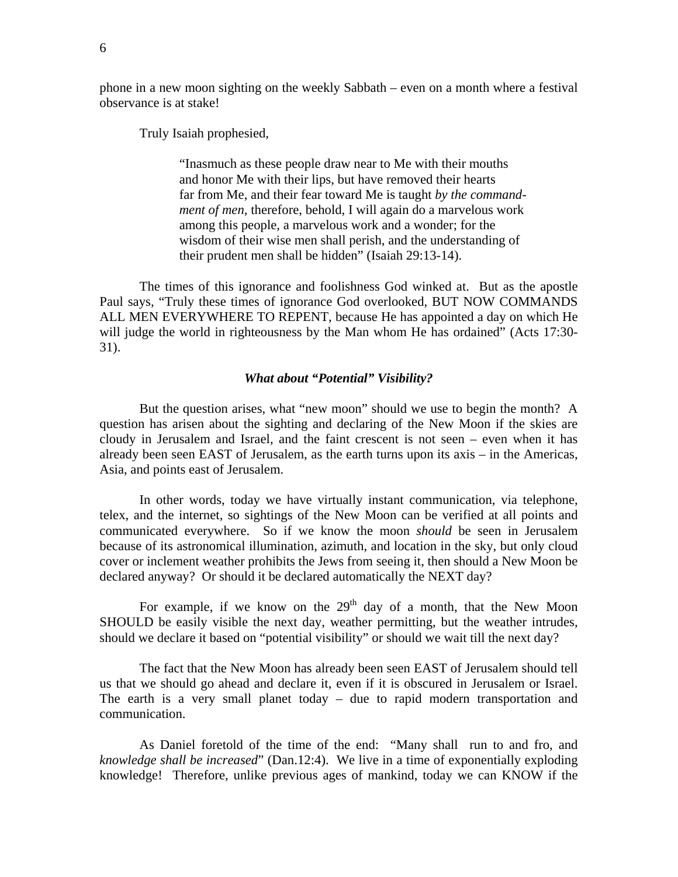phone in a new moon sighting on the weekly Sabbath – even on a month where a festival observance is at stake!

Truly Isaiah prophesied,

 "Inasmuch as these people draw near to Me with their mouths and honor Me with their lips, but have removed their hearts far from Me, and their fear toward Me is taught *by the command ment of men,* therefore, behold, I will again do a marvelous work among this people, a marvelous work and a wonder; for the wisdom of their wise men shall perish, and the understanding of their prudent men shall be hidden" (Isaiah 29:13-14).

 The times of this ignorance and foolishness God winked at. But as the apostle Paul says, "Truly these times of ignorance God overlooked, BUT NOW COMMANDS ALL MEN EVERYWHERE TO REPENT, because He has appointed a day on which He will judge the world in righteousness by the Man whom He has ordained" (Acts 17:30-31).

# *What about "Potential" Visibility?*

 But the question arises, what "new moon" should we use to begin the month? A question has arisen about the sighting and declaring of the New Moon if the skies are cloudy in Jerusalem and Israel, and the faint crescent is not seen – even when it has already been seen EAST of Jerusalem, as the earth turns upon its axis – in the Americas, Asia, and points east of Jerusalem.

 In other words, today we have virtually instant communication, via telephone, telex, and the internet, so sightings of the New Moon can be verified at all points and communicated everywhere. So if we know the moon *should* be seen in Jerusalem because of its astronomical illumination, azimuth, and location in the sky, but only cloud cover or inclement weather prohibits the Jews from seeing it, then should a New Moon be declared anyway? Or should it be declared automatically the NEXT day?

For example, if we know on the  $29<sup>th</sup>$  day of a month, that the New Moon SHOULD be easily visible the next day, weather permitting, but the weather intrudes, should we declare it based on "potential visibility" or should we wait till the next day?

 The fact that the New Moon has already been seen EAST of Jerusalem should tell us that we should go ahead and declare it, even if it is obscured in Jerusalem or Israel. The earth is a very small planet today – due to rapid modern transportation and communication.

As Daniel foretold of the time of the end: "Many shall run to and fro, and *knowledge shall be increased*" (Dan.12:4). We live in a time of exponentially exploding knowledge! Therefore, unlike previous ages of mankind, today we can KNOW if the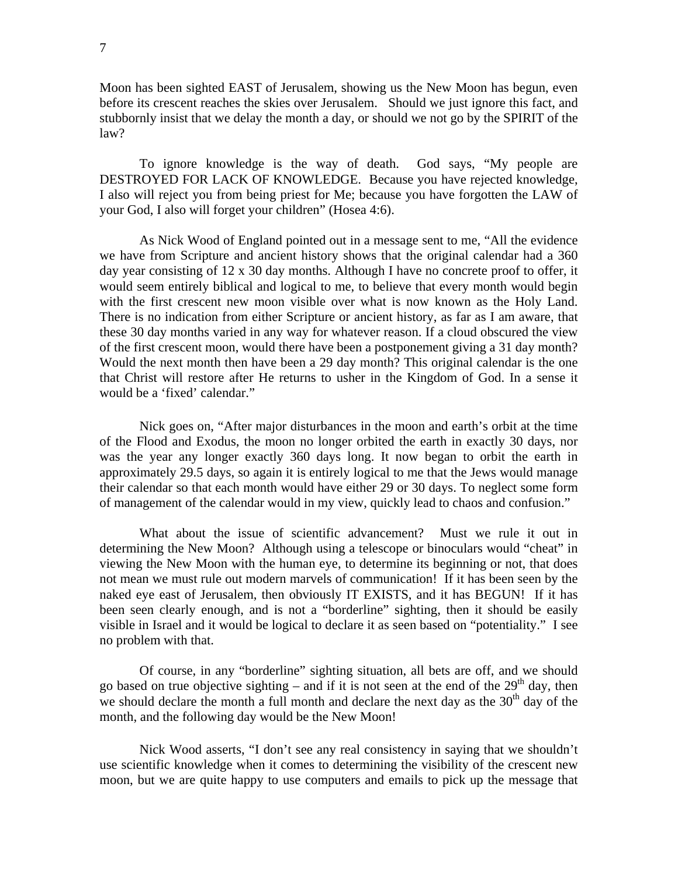Moon has been sighted EAST of Jerusalem, showing us the New Moon has begun, even before its crescent reaches the skies over Jerusalem. Should we just ignore this fact, and stubbornly insist that we delay the month a day, or should we not go by the SPIRIT of the law?

 To ignore knowledge is the way of death. God says, "My people are DESTROYED FOR LACK OF KNOWLEDGE. Because you have rejected knowledge, I also will reject you from being priest for Me; because you have forgotten the LAW of your God, I also will forget your children" (Hosea 4:6).

As Nick Wood of England pointed out in a message sent to me, "All the evidence we have from Scripture and ancient history shows that the original calendar had a 360 day year consisting of 12 x 30 day months. Although I have no concrete proof to offer, it would seem entirely biblical and logical to me, to believe that every month would begin with the first crescent new moon visible over what is now known as the Holy Land. There is no indication from either Scripture or ancient history, as far as I am aware, that these 30 day months varied in any way for whatever reason. If a cloud obscured the view of the first crescent moon, would there have been a postponement giving a 31 day month? Would the next month then have been a 29 day month? This original calendar is the one that Christ will restore after He returns to usher in the Kingdom of God. In a sense it would be a 'fixed' calendar."

Nick goes on, "After major disturbances in the moon and earth's orbit at the time of the Flood and Exodus, the moon no longer orbited the earth in exactly 30 days, nor was the year any longer exactly 360 days long. It now began to orbit the earth in approximately 29.5 days, so again it is entirely logical to me that the Jews would manage their calendar so that each month would have either 29 or 30 days. To neglect some form of management of the calendar would in my view, quickly lead to chaos and confusion."

What about the issue of scientific advancement? Must we rule it out in determining the New Moon? Although using a telescope or binoculars would "cheat" in viewing the New Moon with the human eye, to determine its beginning or not, that does not mean we must rule out modern marvels of communication! If it has been seen by the naked eye east of Jerusalem, then obviously IT EXISTS, and it has BEGUN! If it has been seen clearly enough, and is not a "borderline" sighting, then it should be easily visible in Israel and it would be logical to declare it as seen based on "potentiality." I see no problem with that.

Of course, in any "borderline" sighting situation, all bets are off, and we should go based on true objective sighting – and if it is not seen at the end of the  $29<sup>th</sup>$  day, then we should declare the month a full month and declare the next day as the  $30<sup>th</sup>$  day of the month, and the following day would be the New Moon!

Nick Wood asserts, "I don't see any real consistency in saying that we shouldn't use scientific knowledge when it comes to determining the visibility of the crescent new moon, but we are quite happy to use computers and emails to pick up the message that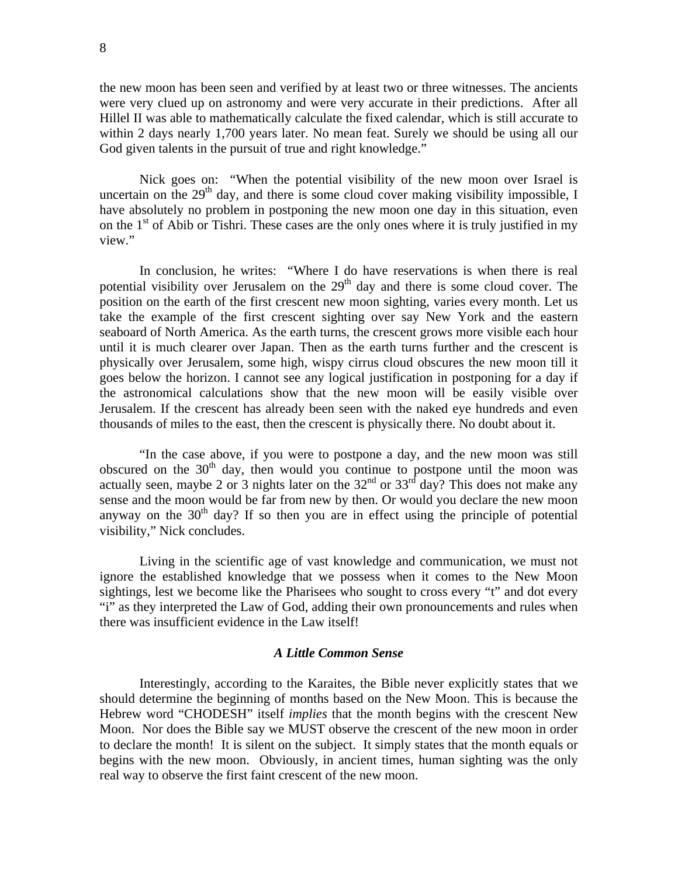the new moon has been seen and verified by at least two or three witnesses. The ancients were very clued up on astronomy and were very accurate in their predictions. After all Hillel II was able to mathematically calculate the fixed calendar, which is still accurate to within 2 days nearly 1,700 years later. No mean feat. Surely we should be using all our God given talents in the pursuit of true and right knowledge."

Nick goes on: "When the potential visibility of the new moon over Israel is uncertain on the  $29<sup>th</sup>$  day, and there is some cloud cover making visibility impossible, I have absolutely no problem in postponing the new moon one day in this situation, even on the  $1<sup>st</sup>$  of Abib or Tishri. These cases are the only ones where it is truly justified in my view."

In conclusion, he writes: "Where I do have reservations is when there is real potential visibility over Jerusalem on the  $29<sup>th</sup>$  day and there is some cloud cover. The position on the earth of the first crescent new moon sighting, varies every month. Let us take the example of the first crescent sighting over say New York and the eastern seaboard of North America. As the earth turns, the crescent grows more visible each hour until it is much clearer over Japan. Then as the earth turns further and the crescent is physically over Jerusalem, some high, wispy cirrus cloud obscures the new moon till it goes below the horizon. I cannot see any logical justification in postponing for a day if the astronomical calculations show that the new moon will be easily visible over Jerusalem. If the crescent has already been seen with the naked eye hundreds and even thousands of miles to the east, then the crescent is physically there. No doubt about it.

"In the case above, if you were to postpone a day, and the new moon was still obscured on the  $30<sup>th</sup>$  day, then would you continue to postpone until the moon was actually seen, maybe 2 or 3 nights later on the  $32<sup>nd</sup>$  or  $33<sup>rd</sup>$  day? This does not make any sense and the moon would be far from new by then. Or would you declare the new moon anyway on the  $30<sup>th</sup>$  day? If so then you are in effect using the principle of potential visibility," Nick concludes.

Living in the scientific age of vast knowledge and communication, we must not ignore the established knowledge that we possess when it comes to the New Moon sightings, lest we become like the Pharisees who sought to cross every "t" and dot every "i" as they interpreted the Law of God, adding their own pronouncements and rules when there was insufficient evidence in the Law itself!

# *A Little Common Sense*

Interestingly, according to the Karaites, the Bible never explicitly states that we should determine the beginning of months based on the New Moon. This is because the Hebrew word "CHODESH" itself *implies* that the month begins with the crescent New Moon. Nor does the Bible say we MUST observe the crescent of the new moon in order to declare the month! It is silent on the subject. It simply states that the month equals or begins with the new moon. Obviously, in ancient times, human sighting was the only real way to observe the first faint crescent of the new moon.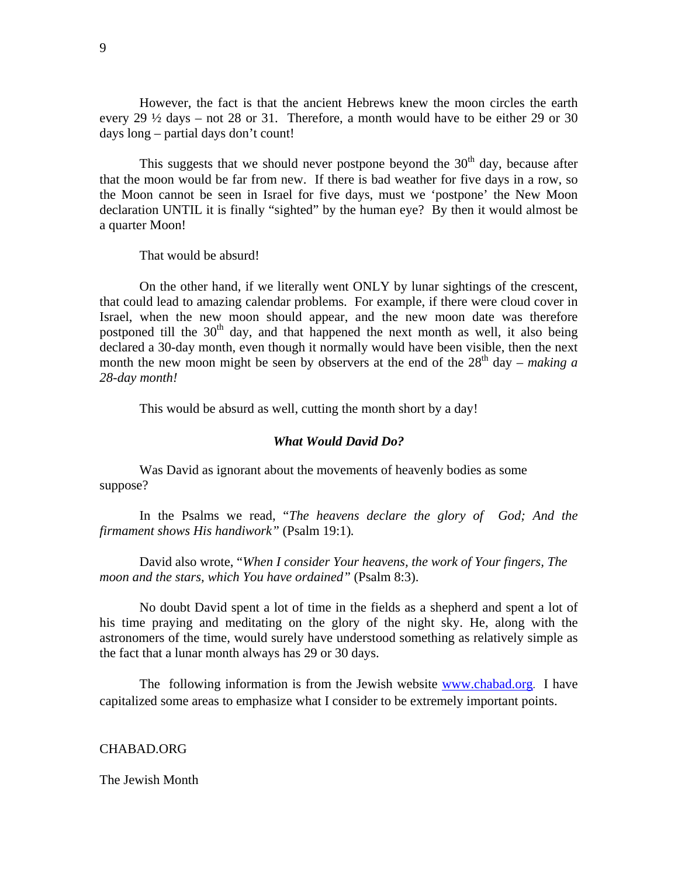However, the fact is that the ancient Hebrews knew the moon circles the earth every 29  $\frac{1}{2}$  days – not 28 or 31. Therefore, a month would have to be either 29 or 30 days long – partial days don't count!

This suggests that we should never postpone beyond the  $30<sup>th</sup>$  day, because after that the moon would be far from new. If there is bad weather for five days in a row, so the Moon cannot be seen in Israel for five days, must we 'postpone' the New Moon declaration UNTIL it is finally "sighted" by the human eye? By then it would almost be a quarter Moon!

That would be absurd!

On the other hand, if we literally went ONLY by lunar sightings of the crescent, that could lead to amazing calendar problems. For example, if there were cloud cover in Israel, when the new moon should appear, and the new moon date was therefore postponed till the  $30<sup>th</sup>$  day, and that happened the next month as well, it also being declared a 30-day month, even though it normally would have been visible, then the next month the new moon might be seen by observers at the end of the  $28<sup>th</sup>$  day – *making a 28-day month!* 

This would be absurd as well, cutting the month short by a day!

## *What Would David Do?*

Was David as ignorant about the movements of heavenly bodies as some suppose?

In the Psalms we read, "*The heavens declare the glory of God; And the firmament shows His handiwork"* (Psalm 19:1)*.* 

David also wrote, "*When I consider Your heavens, the work of Your fingers, The moon and the stars, which You have ordained"* (Psalm 8:3).

No doubt David spent a lot of time in the fields as a shepherd and spent a lot of his time praying and meditating on the glory of the night sky. He, along with the astronomers of the time, would surely have understood something as relatively simple as the fact that a lunar month always has 29 or 30 days.

The following information is from the Jewish website [www.chabad.org](http://www.chabad.org/). I have capitalized some areas to emphasize what I consider to be extremely important points.

# CHABAD.ORG

## The Jewish Month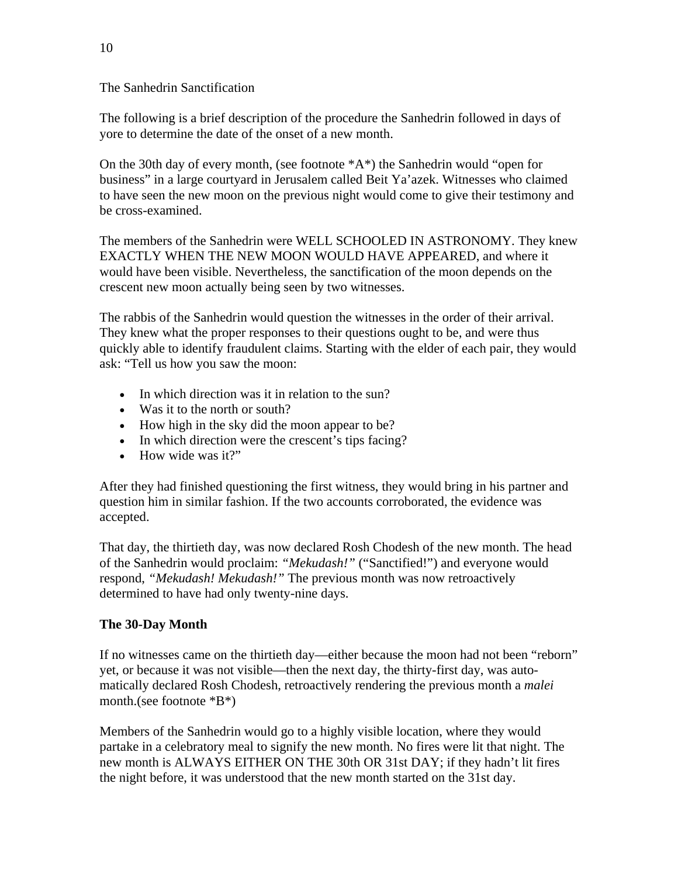The Sanhedrin Sanctification

The following is a brief description of the procedure the Sanhedrin followed in days of yore to determine the date of the onset of a new month.

On the 30th day of every month, (see footnote \*A\*) the Sanhedrin would "open for business" in a large courtyard in Jerusalem called Beit Ya'azek. Witnesses who claimed to have seen the new moon on the previous night would come to give their testimony and be cross-examined.

The members of the Sanhedrin were WELL SCHOOLED IN ASTRONOMY. They knew EXACTLY WHEN THE NEW MOON WOULD HAVE APPEARED, and where it would have been visible. Nevertheless, the sanctification of the moon depends on the crescent new moon actually being seen by two witnesses.

The rabbis of the Sanhedrin would question the witnesses in the order of their arrival. They knew what the proper responses to their questions ought to be, and were thus quickly able to identify fraudulent claims. Starting with the elder of each pair, they would ask: "Tell us how you saw the moon:

- In which direction was it in relation to the sun?
- Was it to the north or south?
- How high in the sky did the moon appear to be?
- In which direction were the crescent's tips facing?
- How wide was it?"

After they had finished questioning the first witness, they would bring in his partner and question him in similar fashion. If the two accounts corroborated, the evidence was accepted.

That day, the thirtieth day, was now declared Rosh Chodesh of the new month. The head of the Sanhedrin would proclaim: *"Mekudash!"* ("Sanctified!") and everyone would respond, *"Mekudash! Mekudash!"* The previous month was now retroactively determined to have had only twenty-nine days.

# **The 30-Day Month**

If no witnesses came on the thirtieth day—either because the moon had not been "reborn" yet, or because it was not visible—then the next day, the thirty-first day, was automatically declared Rosh Chodesh, retroactively rendering the previous month a *malei* month.(see footnote \*B\*)

Members of the Sanhedrin would go to a highly visible location, where they would partake in a celebratory meal to signify the new month. No fires were lit that night. The new month is ALWAYS EITHER ON THE 30th OR 31st DAY; if they hadn't lit fires the night before, it was understood that the new month started on the 31st day.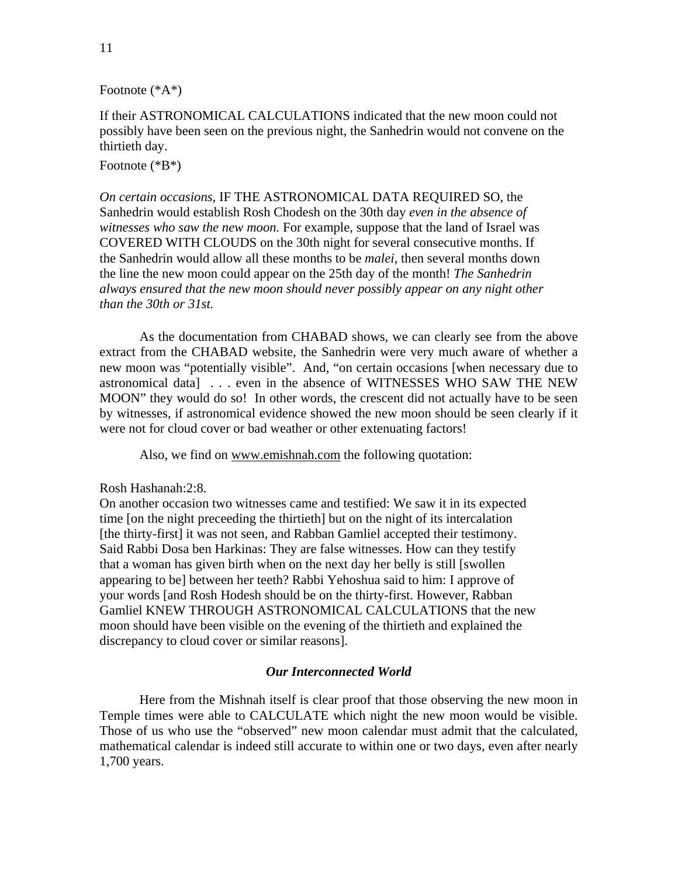# Footnote (\*A\*)

If their ASTRONOMICAL CALCULATIONS indicated that the new moon could not possibly have been seen on the previous night, the Sanhedrin would not convene on the thirtieth day.

# Footnote (\*B\*)

*On certain occasions,* IF THE ASTRONOMICAL DATA REQUIRED SO, the Sanhedrin would establish Rosh Chodesh on the 30th day *even in the absence of witnesses who saw the new moon.* For example, suppose that the land of Israel was COVERED WITH CLOUDS on the 30th night for several consecutive months. If the Sanhedrin would allow all these months to be *malei*, then several months down the line the new moon could appear on the 25th day of the month! *The Sanhedrin always ensured that the new moon should never possibly appear on any night other than the 30th or 31st.* 

 As the documentation from CHABAD shows, we can clearly see from the above extract from the CHABAD website, the Sanhedrin were very much aware of whether a new moon was "potentially visible". And, "on certain occasions [when necessary due to astronomical data] . . . even in the absence of WITNESSES WHO SAW THE NEW MOON" they would do so! In other words, the crescent did not actually have to be seen by witnesses, if astronomical evidence showed the new moon should be seen clearly if it were not for cloud cover or bad weather or other extenuating factors!

Also, we find on [www.emishnah.com](http://www.emishnah.com/) the following quotation:

## Rosh Hashanah:2:8.

On another occasion two witnesses came and testified: We saw it in its expected time [on the night preceeding the thirtieth] but on the night of its intercalation [the thirty-first] it was not seen, and Rabban Gamliel accepted their testimony. Said Rabbi Dosa ben Harkinas: They are false witnesses. How can they testify that a woman has given birth when on the next day her belly is still [swollen appearing to be] between her teeth? Rabbi Yehoshua said to him: I approve of your words [and Rosh Hodesh should be on the thirty-first. However, Rabban Gamliel KNEW THROUGH ASTRONOMICAL CALCULATIONS that the new moon should have been visible on the evening of the thirtieth and explained the discrepancy to cloud cover or similar reasons].

# *Our Interconnected World*

Here from the Mishnah itself is clear proof that those observing the new moon in Temple times were able to CALCULATE which night the new moon would be visible. Those of us who use the "observed" new moon calendar must admit that the calculated, mathematical calendar is indeed still accurate to within one or two days, even after nearly 1,700 years.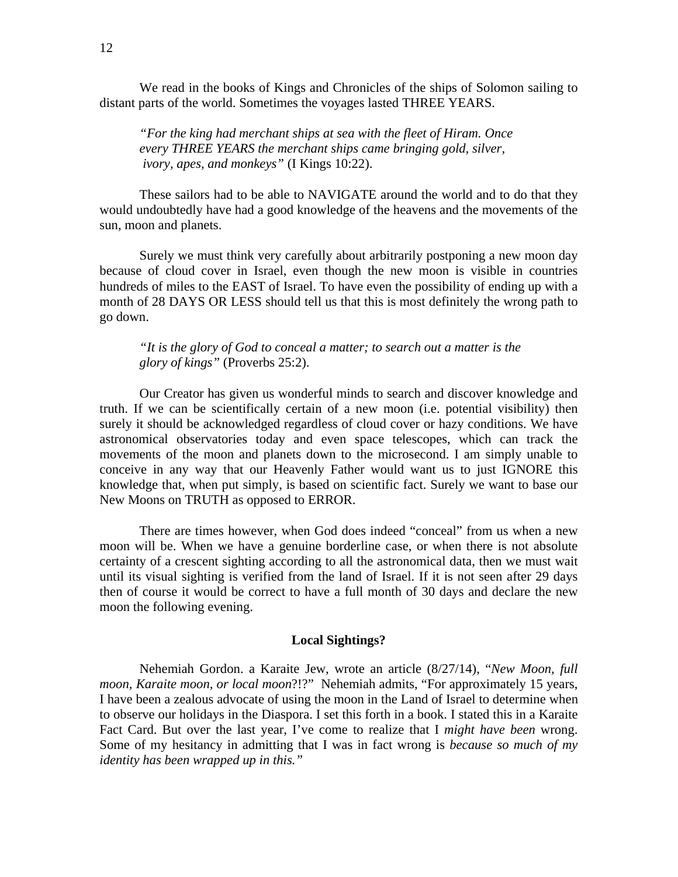We read in the books of Kings and Chronicles of the ships of Solomon sailing to distant parts of the world. Sometimes the voyages lasted THREE YEARS.

*"For the king had merchant ships at sea with the fleet of Hiram. Once every THREE YEARS the merchant ships came bringing gold, silver, ivory, apes, and monkeys"* (I Kings 10:22).

These sailors had to be able to NAVIGATE around the world and to do that they would undoubtedly have had a good knowledge of the heavens and the movements of the sun, moon and planets.

Surely we must think very carefully about arbitrarily postponing a new moon day because of cloud cover in Israel, even though the new moon is visible in countries hundreds of miles to the EAST of Israel. To have even the possibility of ending up with a month of 28 DAYS OR LESS should tell us that this is most definitely the wrong path to go down.

*"It is the glory of God to conceal a matter; to search out a matter is the glory of kings"* (Proverbs 25:2).

Our Creator has given us wonderful minds to search and discover knowledge and truth. If we can be scientifically certain of a new moon (i.e. potential visibility) then surely it should be acknowledged regardless of cloud cover or hazy conditions. We have astronomical observatories today and even space telescopes, which can track the movements of the moon and planets down to the microsecond. I am simply unable to conceive in any way that our Heavenly Father would want us to just IGNORE this knowledge that, when put simply, is based on scientific fact. Surely we want to base our New Moons on TRUTH as opposed to ERROR.

There are times however, when God does indeed "conceal" from us when a new moon will be. When we have a genuine borderline case, or when there is not absolute certainty of a crescent sighting according to all the astronomical data, then we must wait until its visual sighting is verified from the land of Israel. If it is not seen after 29 days then of course it would be correct to have a full month of 30 days and declare the new moon the following evening.

# **Local Sightings?**

Nehemiah Gordon. a Karaite Jew, wrote an article (8/27/14), "*New Moon, full moon, Karaite moon, or local moon*?!?" Nehemiah admits, "For approximately 15 years, I have been a zealous advocate of using the moon in the Land of Israel to determine when to observe our holidays in the Diaspora. I set this forth in a book. I stated this in a Karaite Fact Card. But over the last year, I've come to realize that I *might have been* wrong. Some of my hesitancy in admitting that I was in fact wrong is *because so much of my identity has been wrapped up in this."*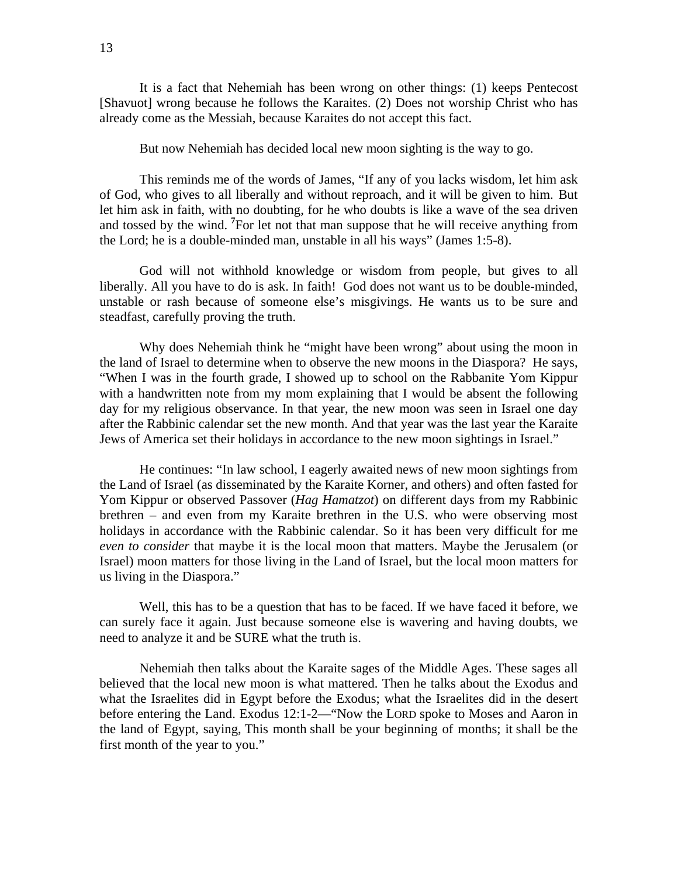It is a fact that Nehemiah has been wrong on other things: (1) keeps Pentecost [Shavuot] wrong because he follows the Karaites. (2) Does not worship Christ who has already come as the Messiah, because Karaites do not accept this fact.

But now Nehemiah has decided local new moon sighting is the way to go.

This reminds me of the words of James, "If any of you lacks wisdom, let him ask of God, who gives to all liberally and without reproach, and it will be given to him. But let him ask in faith, with no doubting, for he who doubts is like a wave of the sea driven and tossed by the wind. **<sup>7</sup>** For let not that man suppose that he will receive anything from the Lord; he is a double-minded man, unstable in all his ways" (James 1:5-8).

God will not withhold knowledge or wisdom from people, but gives to all liberally. All you have to do is ask. In faith! God does not want us to be double-minded, unstable or rash because of someone else's misgivings. He wants us to be sure and steadfast, carefully proving the truth.

Why does Nehemiah think he "might have been wrong" about using the moon in the land of Israel to determine when to observe the new moons in the Diaspora? He says, "When I was in the fourth grade, I showed up to school on the Rabbanite Yom Kippur with a handwritten note from my mom explaining that I would be absent the following day for my religious observance. In that year, the new moon was seen in Israel one day after the Rabbinic calendar set the new month. And that year was the last year the Karaite Jews of America set their holidays in accordance to the new moon sightings in Israel."

He continues: "In law school, I eagerly awaited news of new moon sightings from the Land of Israel (as disseminated by the Karaite Korner, and others) and often fasted for Yom Kippur or observed Passover (*Hag Hamatzot*) on different days from my Rabbinic brethren – and even from my Karaite brethren in the U.S. who were observing most holidays in accordance with the Rabbinic calendar. So it has been very difficult for me *even to consider* that maybe it is the local moon that matters. Maybe the Jerusalem (or Israel) moon matters for those living in the Land of Israel, but the local moon matters for us living in the Diaspora."

Well, this has to be a question that has to be faced. If we have faced it before, we can surely face it again. Just because someone else is wavering and having doubts, we need to analyze it and be SURE what the truth is.

Nehemiah then talks about the Karaite sages of the Middle Ages. These sages all believed that the local new moon is what mattered. Then he talks about the Exodus and what the Israelites did in Egypt before the Exodus; what the Israelites did in the desert before entering the Land. Exodus 12:1-2—"Now the LORD spoke to Moses and Aaron in the land of Egypt, saying, This month shall be your beginning of months; it shall be the first month of the year to you."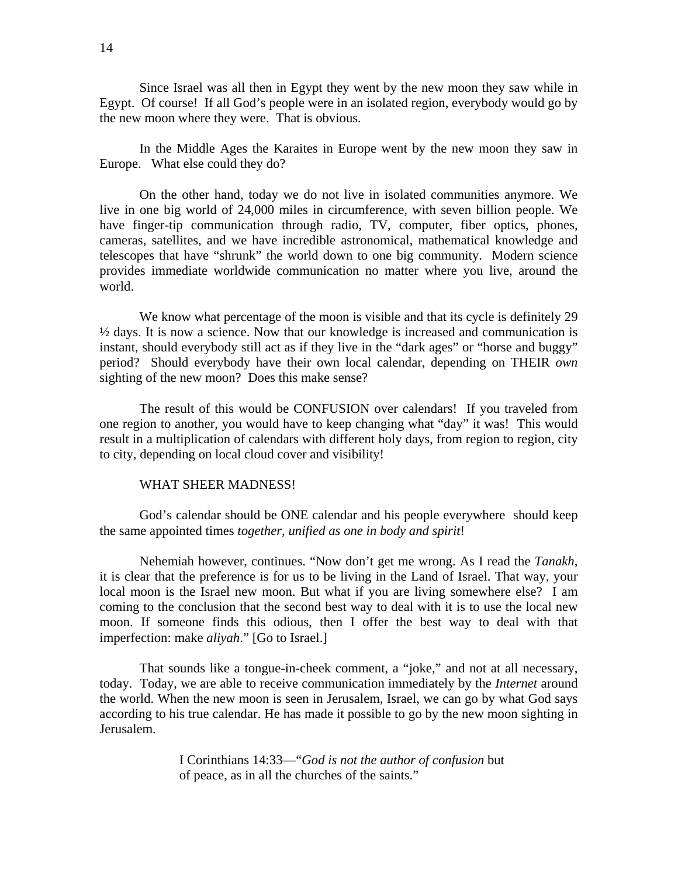Since Israel was all then in Egypt they went by the new moon they saw while in Egypt. Of course! If all God's people were in an isolated region, everybody would go by the new moon where they were. That is obvious.

In the Middle Ages the Karaites in Europe went by the new moon they saw in Europe. What else could they do?

On the other hand, today we do not live in isolated communities anymore. We live in one big world of 24,000 miles in circumference, with seven billion people. We have finger-tip communication through radio, TV, computer, fiber optics, phones, cameras, satellites, and we have incredible astronomical, mathematical knowledge and telescopes that have "shrunk" the world down to one big community. Modern science provides immediate worldwide communication no matter where you live, around the world.

We know what percentage of the moon is visible and that its cycle is definitely 29  $\frac{1}{2}$  days. It is now a science. Now that our knowledge is increased and communication is instant, should everybody still act as if they live in the "dark ages" or "horse and buggy" period? Should everybody have their own local calendar, depending on THEIR *own* sighting of the new moon? Does this make sense?

The result of this would be CONFUSION over calendars! If you traveled from one region to another, you would have to keep changing what "day" it was! This would result in a multiplication of calendars with different holy days, from region to region, city to city, depending on local cloud cover and visibility!

# WHAT SHEER MADNESS!

God's calendar should be ONE calendar and his people everywhere should keep the same appointed times *together, unified as one in body and spirit*!

 Nehemiah however, continues. "Now don't get me wrong. As I read the *Tanakh*, it is clear that the preference is for us to be living in the Land of Israel. That way, your local moon is the Israel new moon. But what if you are living somewhere else? I am coming to the conclusion that the second best way to deal with it is to use the local new moon. If someone finds this odious, then I offer the best way to deal with that imperfection: make *aliyah*." [Go to Israel.]

That sounds like a tongue-in-cheek comment, a "joke," and not at all necessary, today. Today, we are able to receive communication immediately by the *Internet* around the world. When the new moon is seen in Jerusalem, Israel, we can go by what God says according to his true calendar. He has made it possible to go by the new moon sighting in Jerusalem.

> I Corinthians 14:33—"*God is not the author of confusion* but of peace, as in all the churches of the saints."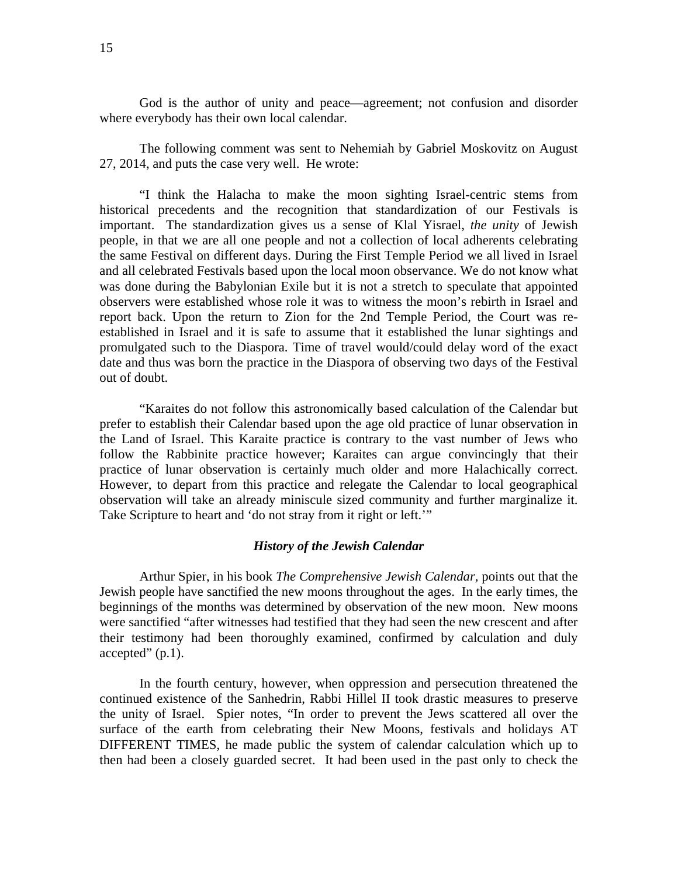God is the author of unity and peace—agreement; not confusion and disorder where everybody has their own local calendar.

The following comment was sent to Nehemiah by Gabriel Moskovitz on August 27, 2014, and puts the case very well. He wrote:

"I think the Halacha to make the moon sighting Israel-centric stems from historical precedents and the recognition that standardization of our Festivals is important. The standardization gives us a sense of Klal Yisrael, *the unity* of Jewish people, in that we are all one people and not a collection of local adherents celebrating the same Festival on different days. During the First Temple Period we all lived in Israel and all celebrated Festivals based upon the local moon observance. We do not know what was done during the Babylonian Exile but it is not a stretch to speculate that appointed observers were established whose role it was to witness the moon's rebirth in Israel and report back. Upon the return to Zion for the 2nd Temple Period, the Court was reestablished in Israel and it is safe to assume that it established the lunar sightings and promulgated such to the Diaspora. Time of travel would/could delay word of the exact date and thus was born the practice in the Diaspora of observing two days of the Festival out of doubt.

"Karaites do not follow this astronomically based calculation of the Calendar but prefer to establish their Calendar based upon the age old practice of lunar observation in the Land of Israel. This Karaite practice is contrary to the vast number of Jews who follow the Rabbinite practice however; Karaites can argue convincingly that their practice of lunar observation is certainly much older and more Halachically correct. However, to depart from this practice and relegate the Calendar to local geographical observation will take an already miniscule sized community and further marginalize it. Take Scripture to heart and 'do not stray from it right or left.'"

#### *History of the Jewish Calendar*

 Arthur Spier, in his book *The Comprehensive Jewish Calendar,* points out that the Jewish people have sanctified the new moons throughout the ages. In the early times, the beginnings of the months was determined by observation of the new moon. New moons were sanctified "after witnesses had testified that they had seen the new crescent and after their testimony had been thoroughly examined, confirmed by calculation and duly accepted" (p.1).

 In the fourth century, however, when oppression and persecution threatened the continued existence of the Sanhedrin, Rabbi Hillel II took drastic measures to preserve the unity of Israel. Spier notes, "In order to prevent the Jews scattered all over the surface of the earth from celebrating their New Moons, festivals and holidays AT DIFFERENT TIMES, he made public the system of calendar calculation which up to then had been a closely guarded secret. It had been used in the past only to check the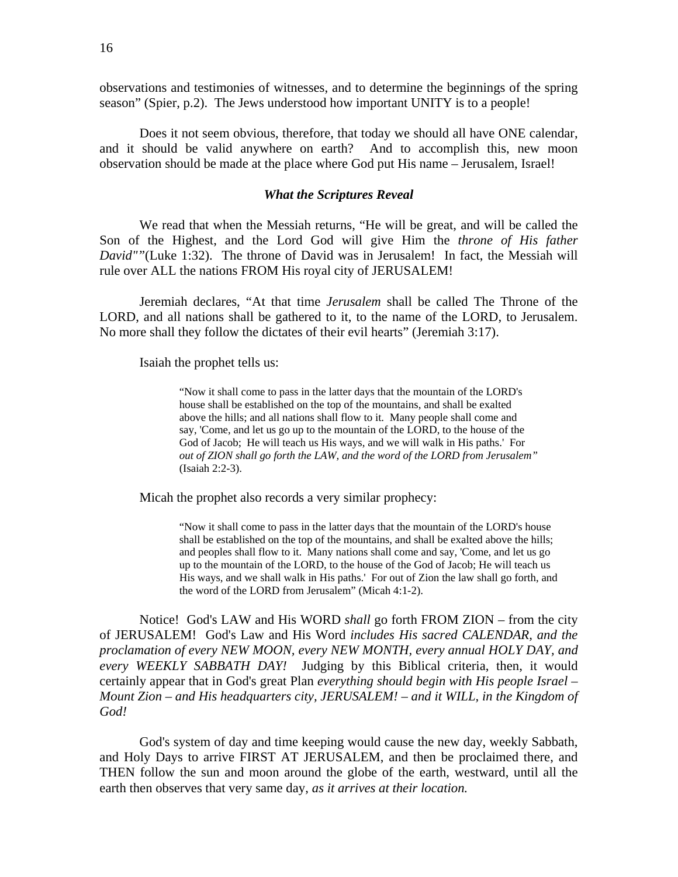observations and testimonies of witnesses, and to determine the beginnings of the spring season" (Spier, p.2). The Jews understood how important UNITY is to a people!

 Does it not seem obvious, therefore, that today we should all have ONE calendar, and it should be valid anywhere on earth? And to accomplish this, new moon observation should be made at the place where God put His name – Jerusalem, Israel!

## *What the Scriptures Reveal*

 We read that when the Messiah returns, "He will be great, and will be called the Son of the Highest, and the Lord God will give Him the *throne of His father David""*(Luke 1:32). The throne of David was in Jerusalem! In fact, the Messiah will rule over ALL the nations FROM His royal city of JERUSALEM!

 Jeremiah declares, "At that time *Jerusalem* shall be called The Throne of the LORD, and all nations shall be gathered to it, to the name of the LORD, to Jerusalem. No more shall they follow the dictates of their evil hearts" (Jeremiah 3:17).

Isaiah the prophet tells us:

 "Now it shall come to pass in the latter days that the mountain of the LORD's house shall be established on the top of the mountains, and shall be exalted above the hills; and all nations shall flow to it. Many people shall come and say, 'Come, and let us go up to the mountain of the LORD, to the house of the God of Jacob; He will teach us His ways, and we will walk in His paths.' For *out of ZION shall go forth the LAW, and the word of the LORD from Jerusalem"* (Isaiah 2:2-3).

Micah the prophet also records a very similar prophecy:

 "Now it shall come to pass in the latter days that the mountain of the LORD's house shall be established on the top of the mountains, and shall be exalted above the hills; and peoples shall flow to it. Many nations shall come and say, 'Come, and let us go up to the mountain of the LORD, to the house of the God of Jacob; He will teach us His ways, and we shall walk in His paths.' For out of Zion the law shall go forth, and the word of the LORD from Jerusalem" (Micah 4:1-2).

 Notice! God's LAW and His WORD *shall* go forth FROM ZION – from the city of JERUSALEM! God's Law and His Word *includes His sacred CALENDAR, and the proclamation of every NEW MOON, every NEW MONTH, every annual HOLY DAY, and every WEEKLY SABBATH DAY!* Judging by this Biblical criteria, then, it would certainly appear that in God's great Plan *everything should begin with His people Israel – Mount Zion – and His headquarters city, JERUSALEM! – and it WILL, in the Kingdom of God!*

God's system of day and time keeping would cause the new day, weekly Sabbath, and Holy Days to arrive FIRST AT JERUSALEM, and then be proclaimed there, and THEN follow the sun and moon around the globe of the earth, westward, until all the earth then observes that very same day, *as it arrives at their location.*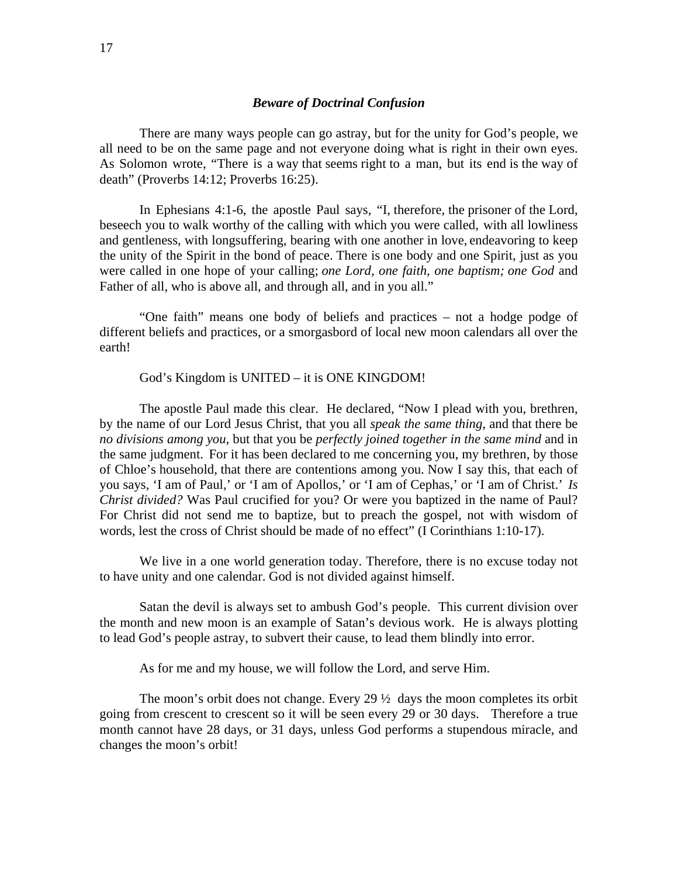There are many ways people can go astray, but for the unity for God's people, we all need to be on the same page and not everyone doing what is right in their own eyes. As Solomon wrote, "There is a way that seems right to a man, but its end is the way of death" (Proverbs 14:12; Proverbs 16:25).

In Ephesians 4:1-6, the apostle Paul says, "I, therefore, the prisoner of the Lord, beseech you to walk worthy of the calling with which you were called, with all lowliness and gentleness, with longsuffering, bearing with one another in love, endeavoring to keep the unity of the Spirit in the bond of peace. There is one body and one Spirit, just as you were called in one hope of your calling; *one Lord, one faith, one baptism; one God* and Father of all, who is above all, and through all, and in you all."

"One faith" means one body of beliefs and practices – not a hodge podge of different beliefs and practices, or a smorgasbord of local new moon calendars all over the earth!

# God's Kingdom is UNITED – it is ONE KINGDOM!

The apostle Paul made this clear. He declared, "Now I plead with you, brethren, by the name of our Lord Jesus Christ, that you all *speak the same thing*, and that there be *no divisions among you*, but that you be *perfectly joined together in the same mind* and in the same judgment. For it has been declared to me concerning you, my brethren, by those of Chloe's household, that there are contentions among you. Now I say this, that each of you says, 'I am of Paul,' or 'I am of Apollos,' or 'I am of Cephas,' or 'I am of Christ.' *Is Christ divided?* Was Paul crucified for you? Or were you baptized in the name of Paul? For Christ did not send me to baptize, but to preach the gospel, not with wisdom of words, lest the cross of Christ should be made of no effect" (I Corinthians 1:10-17).

We live in a one world generation today. Therefore, there is no excuse today not to have unity and one calendar. God is not divided against himself.

Satan the devil is always set to ambush God's people. This current division over the month and new moon is an example of Satan's devious work. He is always plotting to lead God's people astray, to subvert their cause, to lead them blindly into error.

As for me and my house, we will follow the Lord, and serve Him.

The moon's orbit does not change. Every 29  $\frac{1}{2}$  days the moon completes its orbit going from crescent to crescent so it will be seen every 29 or 30 days. Therefore a true month cannot have 28 days, or 31 days, unless God performs a stupendous miracle, and changes the moon's orbit!